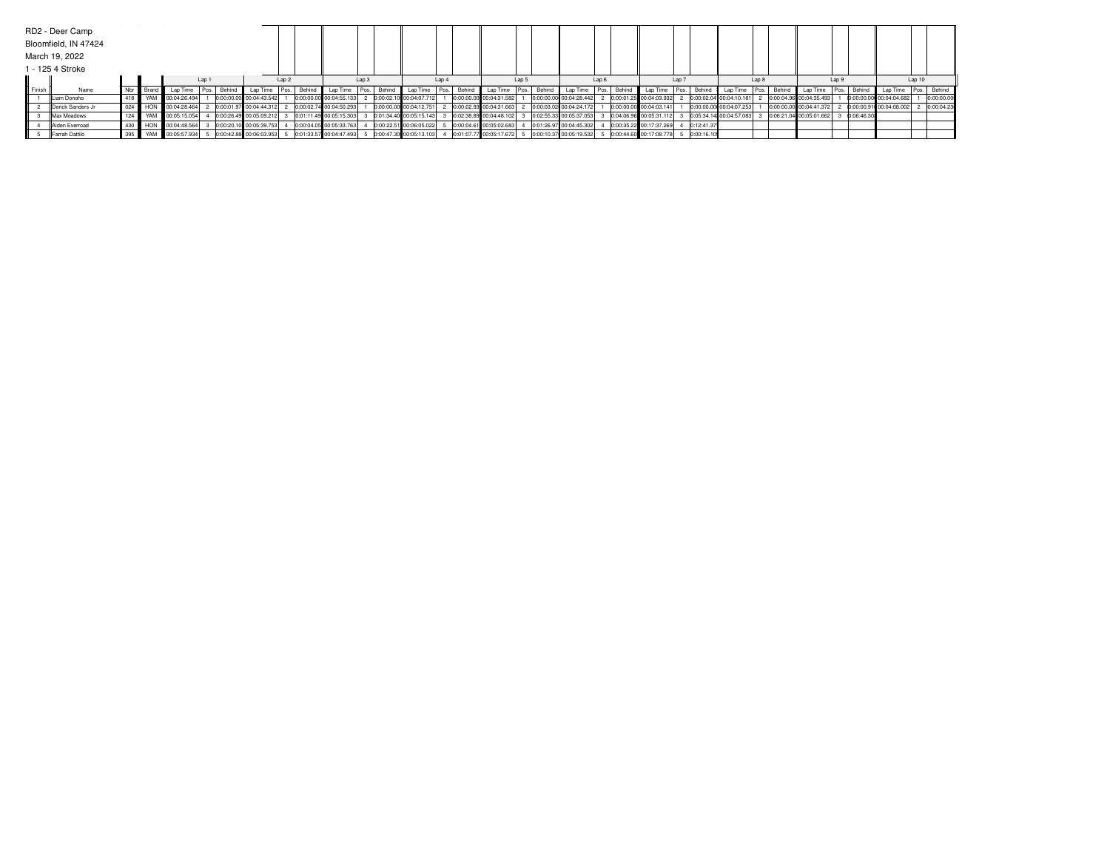|               | RD2 - Deer Camp      |  |                                         |                                      |                         |                  |             |                                                     |       |                           |      |                                                   |       |        |                         |                  |                           |       |            |                         |       |                                  |                  |            |                         |        |             |
|---------------|----------------------|--|-----------------------------------------|--------------------------------------|-------------------------|------------------|-------------|-----------------------------------------------------|-------|---------------------------|------|---------------------------------------------------|-------|--------|-------------------------|------------------|---------------------------|-------|------------|-------------------------|-------|----------------------------------|------------------|------------|-------------------------|--------|-------------|
|               | Bloomfield, IN 47424 |  |                                         |                                      |                         |                  |             |                                                     |       |                           |      |                                                   |       |        |                         |                  |                           |       |            |                         |       |                                  |                  |            |                         |        |             |
|               | March 19, 2022       |  |                                         |                                      |                         |                  |             |                                                     |       |                           |      |                                                   |       |        |                         |                  |                           |       |            |                         |       |                                  |                  |            |                         |        |             |
|               | 1 - 125 4 Stroke     |  |                                         |                                      |                         |                  |             |                                                     |       |                           |      |                                                   |       |        |                         |                  |                           |       |            |                         |       |                                  |                  |            |                         |        |             |
|               |                      |  |                                         | Lap <sub>1</sub>                     |                         | Lap <sub>2</sub> |             |                                                     | Lap 3 |                           | Lap4 |                                                   | Lap 5 |        |                         | Lap <sub>6</sub> |                           | Lap 7 |            |                         | Lap 8 |                                  | Lap <sub>9</sub> |            |                         | Lap 10 |             |
| <b>Finish</b> | Name                 |  |                                         | Nbr Brand   Lap Time   Pos.   Behind | Lap Time                |                  | Pos. Behind | Lap Time   Pos.   Behind   Lap Time   Pos.   Behind |       |                           |      | Lap Time Pos.                                     |       | Behind | Lap Time                |                  | Pos. Behind Lap Time      |       |            | Pos. Behind Lap Time    |       | Pos. Behind Lap Time Pos. Behind |                  |            | Lap Time                |        | Pos. Behind |
|               | Liam Donoho          |  | 418 VAM 100:04:26.494                   |                                      | 0:00:00.00 00:04:43.542 |                  |             | 0:00:00.00 00:04:55.133                             |       | 2 0:00:02.10 00:04:07.712 |      | 0:00:00.00 00:04:31.582                           |       |        | 0:00:00.00 00:04:28.442 |                  | 0:00:01.25 00:04:03.932   |       |            | 0:00:02.04 00:04:10.181 |       | 0:00:04.96 00:04:35.493          |                  |            | 0:00:00.00 00:04:04.682 |        | 0:00:00.00  |
|               | Derick Sanders Jr    |  | 024    HON   00:04:28.464               |                                      | 0:00:01.97 00:04:44.312 |                  |             | 0:00:02.74 00:04:50.293                             |       | 0:00:00.00 00:04:12.751   |      | / 0:00:02.93 00:04:31.663                         |       |        | 0:00:03.02 00:04:24.172 |                  | 0:00:00.00 00:04:03.141   |       |            | 0:00:00.00 00:04:07.253 |       | 0:00:00.00 00:04:41.372          |                  |            | 0:00:00.91 00:04:08.002 |        | 0:00:04.23  |
|               | Max Meadows          |  | 124 W YAM 60:05:15.054                  |                                      | 0:00:26.49 00:05:09.212 |                  |             | 0:01:11.49 00:05:15.303                             |       |                           |      | 0:01:34.40 00:05:15.143 3 0:02:38.89 00:04:48.102 |       |        | 0:02:55.33 00:05:37.053 |                  | 0:04:06.96 00:05:31.112 3 |       |            | 0:05:34.14 00:04:57.083 |       | 0:06:21.04 00:05:01.662          |                  | 0:06:46.30 |                         |        |             |
|               | Aiden Everroad       |  | 430 <b>H</b> HON <b>II</b> 00:04:48.564 |                                      | 0:00:20.10 00:05:39.753 |                  |             | 0:00:04.05 00:05:33.763                             |       | 0:00:22.51 00:06:05.022   |      | 0:00:04.61 00:05:02.683                           |       |        | 0:01:26.97 00:04:45.302 |                  | 0:00:35.22 00:17:37.269   |       | 0:12:41.37 |                         |       |                                  |                  |            |                         |        |             |
|               | Farrah Dattilo       |  | 395    YAM    00:05:57.934              |                                      | 0:00:42.88 00:06:03.953 |                  |             | 0:01:33.57 00:04:47.493                             |       | 0:00:47.30 00:05:13.103   |      | 0:01:07.77 00:05:17.672 5                         |       |        | 0:00:10.37 00:05:19.532 |                  | 0:00:44.60 00:17:08.778   |       | 0:00:16.10 |                         |       |                                  |                  |            |                         |        |             |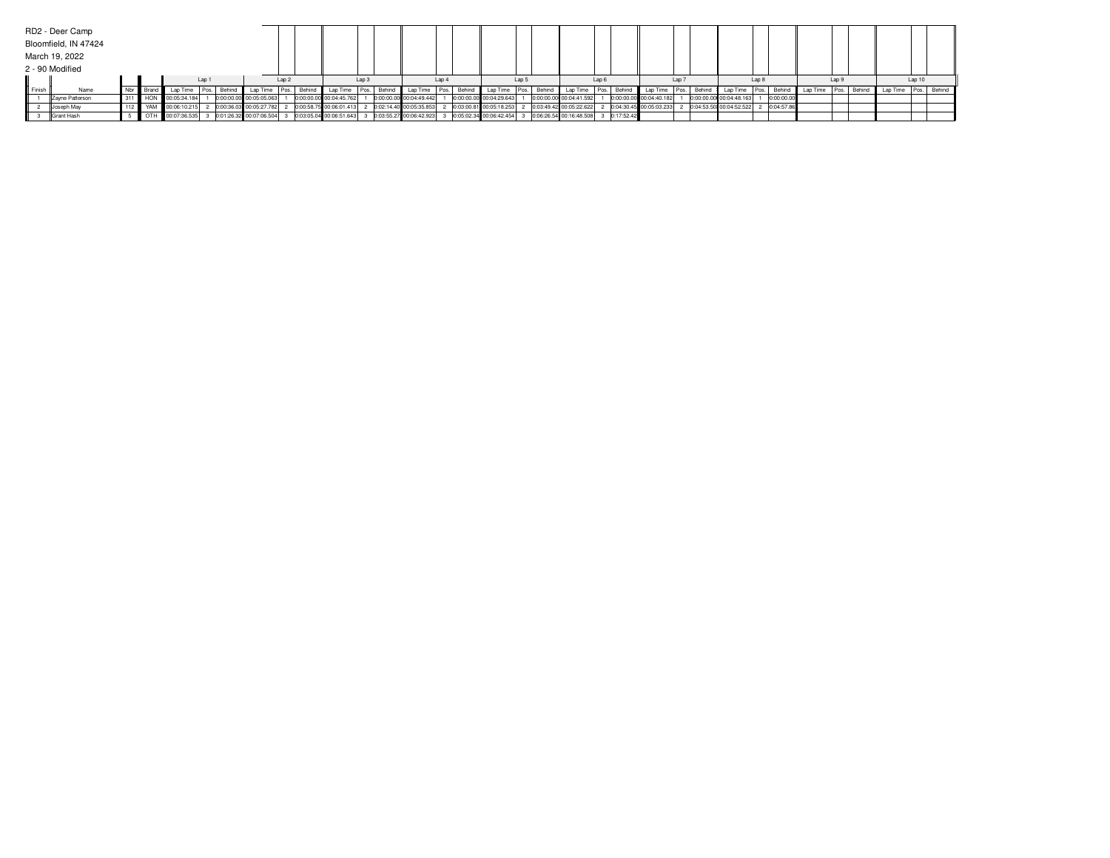|        | RD2 - Deer Camp      |                               |  |                      |                  |                                     |  |                  |                         |  |                  |                         |       |                         |                         |                  |                                      |  |             |                         |      |        |                         |  |            |                          |        |                      |  |  |
|--------|----------------------|-------------------------------|--|----------------------|------------------|-------------------------------------|--|------------------|-------------------------|--|------------------|-------------------------|-------|-------------------------|-------------------------|------------------|--------------------------------------|--|-------------|-------------------------|------|--------|-------------------------|--|------------|--------------------------|--------|----------------------|--|--|
|        | Bloomfield, IN 47424 |                               |  |                      |                  |                                     |  |                  |                         |  |                  |                         |       |                         |                         |                  |                                      |  |             |                         |      |        |                         |  |            |                          |        |                      |  |  |
|        | March 19, 2022       |                               |  |                      |                  |                                     |  |                  |                         |  |                  |                         |       |                         |                         |                  |                                      |  |             |                         |      |        |                         |  |            |                          |        |                      |  |  |
|        | 2 - 90 Modified      |                               |  |                      |                  |                                     |  |                  |                         |  |                  |                         |       |                         |                         |                  |                                      |  |             |                         |      |        |                         |  |            |                          |        |                      |  |  |
|        |                      | Lap <sub>1</sub><br>Nbr Brand |  |                      | Lap <sub>2</sub> |                                     |  | Lap <sub>3</sub> |                         |  | Lap <sub>4</sub> |                         | Lap 5 |                         |                         | Lap <sub>6</sub> |                                      |  | Lap 7       |                         |      | Lap 8  |                         |  | Lap 9      |                          | Lap 10 |                      |  |  |
| Finish | Name                 |                               |  |                      |                  | Lap Time   Pos.   Behind   Lap Time |  | Pos. Behind      | Lap Time                |  | Pos. Behind      | Lap Time   Pos.         |       | Behind Lap Time         | $I$ Pos. $\overline{I}$ | Behind           | Lap Time                             |  | Pos. Behind | Lap Time                | Pos. | Behind | Lap Time   Pos.         |  | Behind     | Lap Time   Pos.   Behind |        | Lap Time Pos. Behind |  |  |
|        | Zayne Patterson      |                               |  | 311 HON 00:05:34.184 |                  | 0:00:00.00 00:05:05.063             |  |                  | 0:00:00.00 00:04:45.762 |  |                  | 0:00:00.00 00:04:49.442 |       | 0:00:00.00 00:04:29.643 |                         |                  | 0:00:00.00 00:04:41.592              |  |             | 0:00:00.00 00:04:40.182 |      |        | 0:00:00.00 00:04:48.163 |  | 0:00:00.00 |                          |        |                      |  |  |
|        | Joseph May           |                               |  | 112 WAM 00:06:10.215 |                  | 0:00:36.03 00:05:27.782             |  |                  | 0:00:58.75 00:06:01.413 |  |                  | 0:02:14.40 00:05:35.853 |       | 0:03:00.81 00:05:18.253 |                         |                  | 0:03:49.42 00:05:22.622              |  |             | 0:04:30.45 00:05:03.233 |      |        | 0:04:53.50 00:04:52.522 |  | 0:04:57.86 |                          |        |                      |  |  |
|        | Grant Hash           |                               |  | OTH 00:07:36.535     |                  | 0:01:26.32 00:07:06.504             |  |                  | 0:03:05.04 00:06:51.643 |  |                  | 0:03:55.27 00:06:42.923 |       | 0:05:02.34 00:06:42.454 |                         |                  | 0:06:26.54 00:16:48.508 3 0:17:52.42 |  |             |                         |      |        |                         |  |            |                          |        |                      |  |  |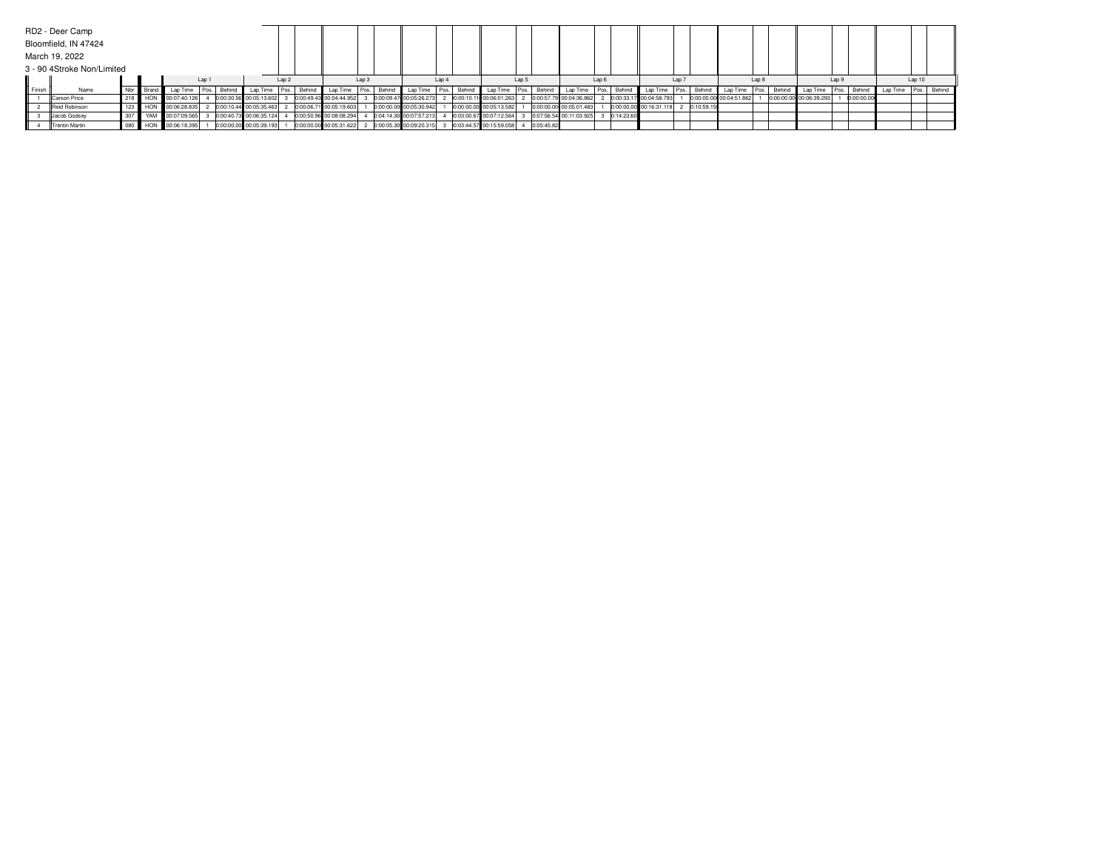|                  | RD2 - Deer Camp            |     |                        |                           |                  |             |                           |                  |             |                         |                  |        |                           |                  |                         |       |            |                          |                  |            |                         |       |            |                         |       |        |                         |       |             |                          |        |  |
|------------------|----------------------------|-----|------------------------|---------------------------|------------------|-------------|---------------------------|------------------|-------------|-------------------------|------------------|--------|---------------------------|------------------|-------------------------|-------|------------|--------------------------|------------------|------------|-------------------------|-------|------------|-------------------------|-------|--------|-------------------------|-------|-------------|--------------------------|--------|--|
|                  | Bloomfield, IN 47424       |     |                        |                           |                  |             |                           |                  |             |                         |                  |        |                           |                  |                         |       |            |                          |                  |            |                         |       |            |                         |       |        |                         |       |             |                          |        |  |
|                  | March 19, 2022             |     |                        |                           |                  |             |                           |                  |             |                         |                  |        |                           |                  |                         |       |            |                          |                  |            |                         |       |            |                         |       |        |                         |       |             |                          |        |  |
|                  | 3 - 90 4Stroke Non/Limited |     |                        |                           |                  |             |                           |                  |             |                         |                  |        |                           |                  |                         |       |            |                          |                  |            |                         |       |            |                         |       |        |                         |       |             |                          |        |  |
|                  |                            |     |                        |                           | Lap <sub>1</sub> |             |                           | Lap <sub>2</sub> |             |                         | Lap <sub>3</sub> |        |                           | Lap <sub>4</sub> |                         | Lap 5 |            |                          | Lap <sub>6</sub> |            |                         | Lap 7 |            |                         | Lap 8 |        |                         | Lap 9 |             |                          | Lap 10 |  |
| <b>II</b> Finish | Name                       |     | Nbr <b>II</b> Brand II | Lap Time                  |                  | Pos. Behind | Lap Time                  |                  | Pos. Behind | Lap Time                | Pos.             | Behind | Lap Time   Pos.           |                  | Behind Lap Time Pos.    |       | Behind     | Lap Time   Pos.   Behind |                  |            | Lap Time                | Pos.  | Behind     | Lap Time   Pos.         |       | Behind | Lap Time                |       | Pos. Behind | Lap Time   Pos.   Behind |        |  |
|                  | Carson Price               |     |                        | 218 HON 00:07:40.126      |                  |             | 0:00:30.56 00:05:13.602   |                  |             | 0:00:49.43 00:04:44.952 |                  |        | $0:00:09.47$ 00:05:26.273 |                  | 0:00:10.11 00:06:01.263 |       |            | 0:00:57.79 00:04:36.862  |                  |            | 0:00:33.17 00:04:58.793 |       |            | 0:00:00.00 00:04:51.862 |       |        | 0:00:00.00 00:06:39.293 |       | 0:00:00.00  |                          |        |  |
|                  | Reid Robinson              |     |                        | 123   HON 00:06:28.835    |                  |             | $0:00:10.44$ 00:05:35.463 |                  |             | 0:00:06.71 00:05:19.603 |                  |        | 0:00:00.00 00:05:30.942   |                  | 0:00:00.00 00:05:13.582 |       |            | 0:00:00.00 00:05:01.483  |                  |            | 0:00:00.00 00:16:31.118 |       | 0:10:59.15 |                         |       |        |                         |       |             |                          |        |  |
|                  | Jacob Godsey               | 307 |                        | VAM 00:07:09.565          |                  |             | 0:00:40.73 00:06:35.124   |                  |             | 0:00:50.96 00:08:08.294 |                  |        | 0:04:14.30 00:07:57.213   |                  | 0:03:00.67 00:07:12.564 |       |            | 0:07:56.54 00:11:03.925  |                  | 0:14:23.60 |                         |       |            |                         |       |        |                         |       |             |                          |        |  |
|                  | <b>Trentin Martin</b>      |     |                        | 080    HON   00:06:18.395 |                  |             | 0:00:00.00 00:05:39.193   |                  |             | 0:00:00.00 00:05:31.622 |                  |        | 0:00:05.30 00:09:20.315   |                  | 0:03:44.57 00:15:59.058 |       | 0:05:45.82 |                          |                  |            |                         |       |            |                         |       |        |                         |       |             |                          |        |  |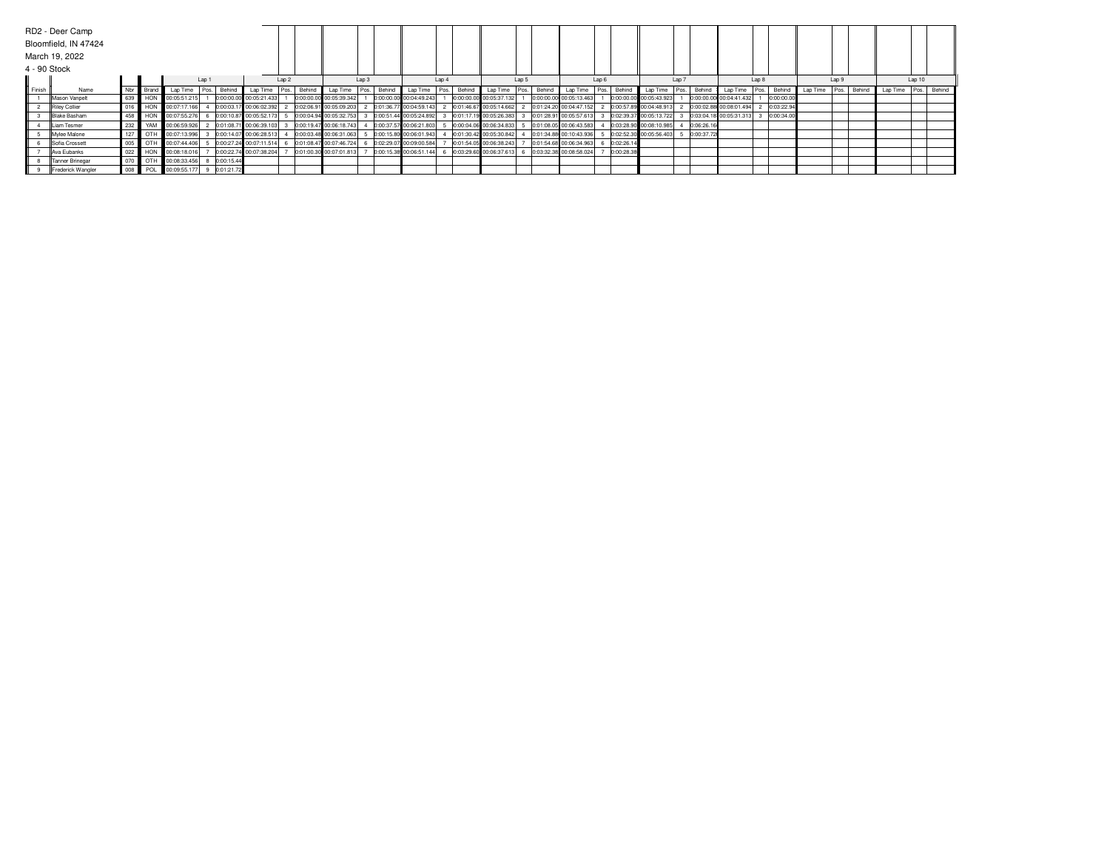| 4 - 90 Stock     | RD2 - Deer Camp<br>Bloomfield, IN 47424<br>March 19, 2022 |     |                 |              |                  |            |                         |       |               |                         |      |        |                         |       |        |                         |       |        |                         |                  |            |                         |       |            |                         |       |            |          |       |             |                      |        |  |
|------------------|-----------------------------------------------------------|-----|-----------------|--------------|------------------|------------|-------------------------|-------|---------------|-------------------------|------|--------|-------------------------|-------|--------|-------------------------|-------|--------|-------------------------|------------------|------------|-------------------------|-------|------------|-------------------------|-------|------------|----------|-------|-------------|----------------------|--------|--|
|                  |                                                           |     |                 |              | Lap <sub>1</sub> |            |                         | Lap 2 |               |                         | Lap3 |        |                         | Lap 4 |        |                         | Lap 5 |        |                         | Lap <sub>6</sub> |            |                         | Lap 7 |            |                         | Lap 8 |            |          | Lap 9 |             |                      | Lap 10 |  |
| <b>II</b> Finish | Name                                                      |     | Nbr Brand       | Lap Time     | l Pos. I         | Behind     | Lap Time                |       | Pos.   Behind | Lap Time                | Pos. | Behind | Lap Time                | Pos.  | Behind | Lap Time                |       | Behind | Lap Time                | Pos.             | Behind     | Lap Time                |       | Behind     | Lap Time                | Pos.  | Behind     | Lap Time |       | Pos. Behind | Lap Time Pos. Behind |        |  |
|                  | Mason Vanpelt                                             |     | 639 HON         | 00:05:51.215 |                  |            | 0:00:00.00 00:05:21.433 |       |               | 0:00:00.00 00:05:39.342 |      |        | 0:00:00.00 00:04:49.243 |       |        | 0:00:00.00 00:05:37.132 |       |        | 0:00:00.00 00:05:13.463 |                  |            | 0:00:00.00 00:05:43.923 |       |            | 0:00:00.00 00:04:41.432 |       | 0:00:00.00 |          |       |             |                      |        |  |
|                  | Riley Collier                                             |     | 016 HON         | 00:07:17.166 |                  |            | 0:00:03.17 00:06:02.392 |       |               | 0:02:06.91 00:05:09.203 |      |        | 0:01:36.77 00:04:59.143 |       |        | 0:01:46.67 00:05:14.662 |       |        | 0:01:24.20 00:04:47.152 |                  |            | 0:00:57.89 00:04:48.913 |       |            | 0:00:02.88 00:08:01.494 |       | 0:03:22.94 |          |       |             |                      |        |  |
|                  | <b>Blake Basham</b>                                       | 458 | $\parallel$ HON | 00:07:55.276 |                  |            | 0:00:10.87 00:05:52.173 |       |               | 0:00:04.94 00:05:32.753 |      |        | 0:00:51.44 00:05:24.892 |       |        | 0:01:17.19 00:05:26.383 |       |        | 0:01:28.91 00:05:57.613 |                  |            | 0:02:39.37 00:05:13.722 |       |            | 0:03:04.18 00:05:31.313 |       | 0:00:34.00 |          |       |             |                      |        |  |
|                  | Liam Tesmer                                               | 232 | YAM             | 00:06:59.926 |                  |            | 0:01:08.71 00:06:39.103 |       |               | 0:00:19.47 00:06:18.743 |      |        | 0:00:37.57 00:06:21.803 |       |        | 0:00:04.06 00:06:34.833 |       |        | 0:01:08.05 00:06:43.583 |                  |            | 0:03:28.90 00:08:10.985 |       | 0:06:26.16 |                         |       |            |          |       |             |                      |        |  |
|                  | Mylee Malone                                              |     | 127   OTH       | 00:07:13.996 |                  |            | 0:00:14.07 00:06:28.513 |       |               | 0:00:03.48 00:06:31.063 |      |        | 0:00:15.80 00:06:01.943 |       |        | 0:01:30.42 00:05:30.842 |       |        | 0:01:34.88 00:10:43.936 |                  |            | 0:02:52.30 00:05:56.403 |       | 0:00:37.72 |                         |       |            |          |       |             |                      |        |  |
|                  | Sofia Crossett                                            |     | 005   OTH       | 00:07:44.406 |                  |            | 0:00:27.24 00:07:11.514 |       |               | 0:01:08.47 00:07:46.724 |      |        | 0:02:29.07 00:09:00.584 |       |        | 0:01:54.05 00:06:38.243 |       |        | 0:01:54.68 00:06:34.963 |                  | 0:02:26.14 |                         |       |            |                         |       |            |          |       |             |                      |        |  |
|                  | Ava Eubanks                                               | 022 | HON             | 00:08:18.016 |                  |            | 0:00:22.74 00:07:38.204 |       |               | 0:01:00.30 00:07:01.813 |      |        | 0:00:15.38 00:06:51.144 |       |        | 0:03:29.60 00:06:37.613 |       |        | 0:03:32.38 00:08:58.024 |                  | 0:00:28.38 |                         |       |            |                         |       |            |          |       |             |                      |        |  |
|                  | Tanner Brinegar                                           |     | 070   OTH       | 00:08:33.456 |                  | 0:00:15.44 |                         |       |               |                         |      |        |                         |       |        |                         |       |        |                         |                  |            |                         |       |            |                         |       |            |          |       |             |                      |        |  |
|                  | Frederick Wangler                                         |     | 008 <b>POL</b>  | 00:09:55.177 |                  | 0:01:21.72 |                         |       |               |                         |      |        |                         |       |        |                         |       |        |                         |                  |            |                         |       |            |                         |       |            |          |       |             |                      |        |  |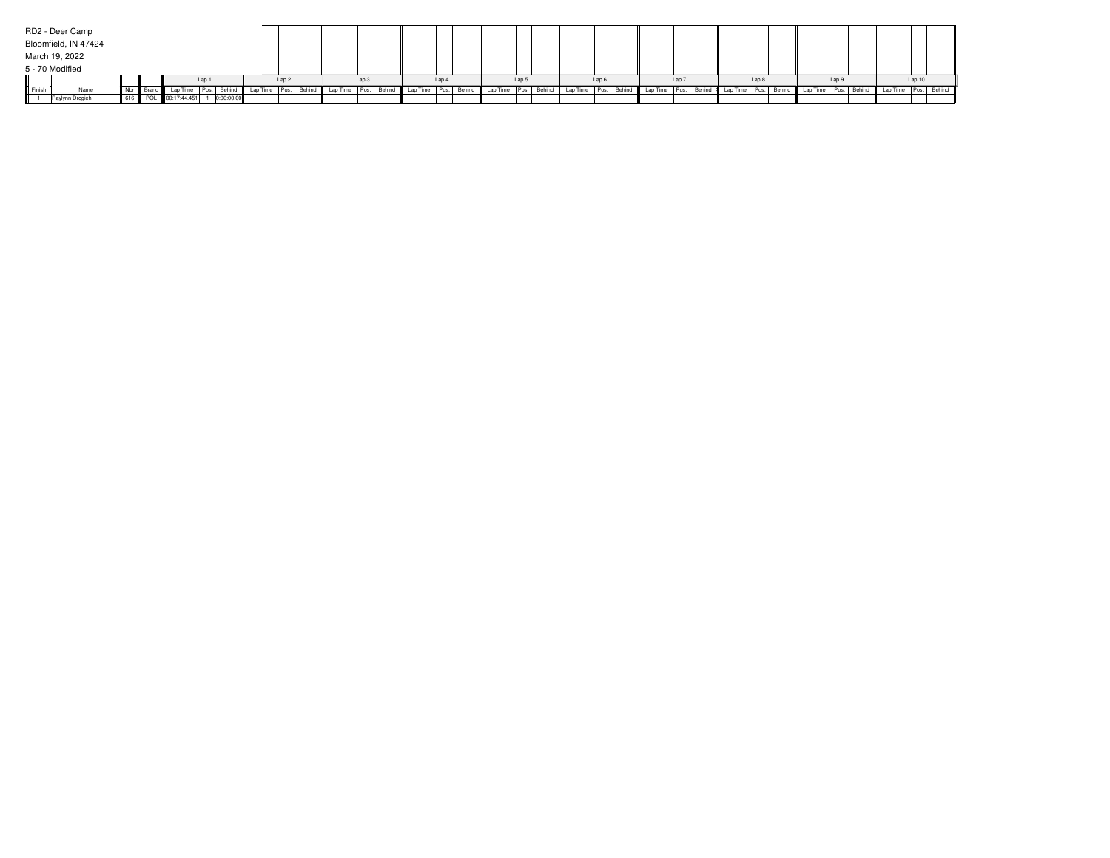|        | RD2 - Deer Camp      |                   |                      |                  |            |                 |                  |                                  |                  |               |                  |                      |       |        |                          |                  |          |                  |        |                 |       |        |                          |       |                      |       |  |
|--------|----------------------|-------------------|----------------------|------------------|------------|-----------------|------------------|----------------------------------|------------------|---------------|------------------|----------------------|-------|--------|--------------------------|------------------|----------|------------------|--------|-----------------|-------|--------|--------------------------|-------|----------------------|-------|--|
|        | Bloomfield, IN 47424 |                   |                      |                  |            |                 |                  |                                  |                  |               |                  |                      |       |        |                          |                  |          |                  |        |                 |       |        |                          |       |                      |       |  |
|        | March 19, 2022       |                   |                      |                  |            |                 |                  |                                  |                  |               |                  |                      |       |        |                          |                  |          |                  |        |                 |       |        |                          |       |                      |       |  |
|        | 5 - 70 Modified      |                   |                      |                  |            |                 |                  |                                  |                  |               |                  |                      |       |        |                          |                  |          |                  |        |                 |       |        |                          |       |                      |       |  |
|        |                      |                   |                      | Lap <sub>1</sub> |            |                 | Lap <sub>2</sub> |                                  | Lap <sub>3</sub> |               | Lap <sub>4</sub> |                      | Lap 5 |        |                          | Lap <sub>6</sub> |          | Lap <sub>7</sub> |        |                 | Lap 8 |        |                          | Lap 9 |                      | Lap10 |  |
| Finish | Name                 | Nbr III Brand III | Lap Time             | I Pos. I         |            | Behind Lap Time |                  | Pos. Behind Lap Time Pos. Behind |                  | Lap Time Pos. |                  | Behind Lap Time Pos. |       | Behind | Lap Time   Pos.   Behind |                  | Lap Time | Pos.             | Behind | Lap Time   Pos. |       | Behind | Lap Time   Pos.   Behind |       | Lap Time Pos. Behind |       |  |
|        | Raylynn Drogich      |                   | 616 POL 00:17:44.451 |                  | 0:00:00.00 |                 |                  |                                  |                  |               |                  |                      |       |        |                          |                  |          |                  |        |                 |       |        |                          |       |                      |       |  |